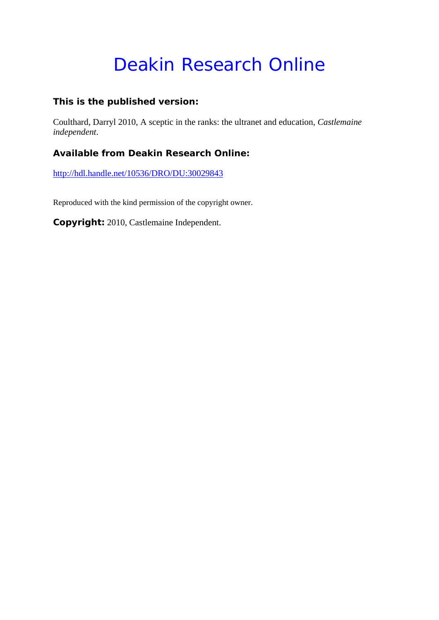# Deakin Research Online

#### **This is the published version:**

Coulthard, Darryl 2010, A sceptic in the ranks: the ultranet and education*, Castlemaine independent*.

### **Available from Deakin Research Online:**

http://hdl.handle.net/10536/DRO/DU:30029843

Reproduced with the kind permission of the copyright owner.

**Copyright:** 2010, Castlemaine Independent.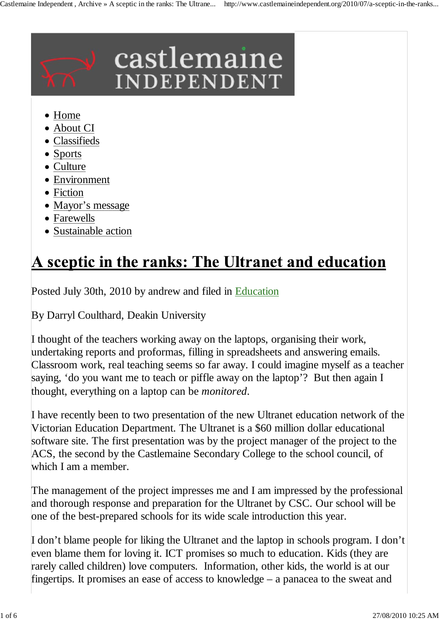

- Home
- About CI
- Classifieds
- Sports
- Culture
- Environment
- Fiction
- Mayor's message
- Farewells
- Sustainable action

## A sceptic in the ranks: The Ultranet and education

Posted July 30th, 2010 by andrew and filed in Education

By Darryl Coulthard, Deakin University

I thought of the teachers working away on the laptops, organising their work, undertaking reports and proformas, filling in spreadsheets and answering emails. Classroom work, real teaching seems so far away. I could imagine myself as a teacher saying, 'do you want me to teach or piffle away on the laptop'? But then again I thought, everything on a laptop can be *monitored*.

I have recently been to two presentation of the new Ultranet education network of the Victorian Education Department. The Ultranet is a \$60 million dollar educational software site. The first presentation was by the project manager of the project to the ACS, the second by the Castlemaine Secondary College to the school council, of which I am a member.

The management of the project impresses me and I am impressed by the professional and thorough response and preparation for the Ultranet by CSC. Our school will be one of the best-prepared schools for its wide scale introduction this year.

I don't blame people for liking the Ultranet and the laptop in schools program. I don't even blame them for loving it. ICT promises so much to education. Kids (they are rarely called children) love computers. Information, other kids, the world is at our fingertips. It promises an ease of access to knowledge – a panacea to the sweat and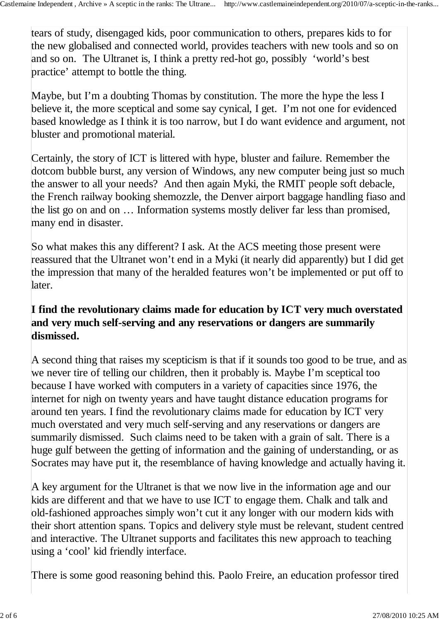tears of study, disengaged kids, poor communication to others, prepares kids to for the new globalised and connected world, provides teachers with new tools and so on and so on. The Ultranet is, I think a pretty red-hot go, possibly 'world's best practice' attempt to bottle the thing.

Maybe, but I'm a doubting Thomas by constitution. The more the hype the less I believe it, the more sceptical and some say cynical, I get. I'm not one for evidenced based knowledge as I think it is too narrow, but I do want evidence and argument, not bluster and promotional material.

Certainly, the story of ICT is littered with hype, bluster and failure. Remember the dotcom bubble burst, any version of Windows, any new computer being just so much the answer to all your needs? And then again Myki, the RMIT people soft debacle, the French railway booking shemozzle, the Denver airport baggage handling fiaso and the list go on and on … Information systems mostly deliver far less than promised, many end in disaster.

So what makes this any different? I ask. At the ACS meeting those present were reassured that the Ultranet won't end in a Myki (it nearly did apparently) but I did get the impression that many of the heralded features won't be implemented or put off to later.

### **I find the revolutionary claims made for education by ICT very much overstated and very much self-serving and any reservations or dangers are summarily dismissed.**

A second thing that raises my scepticism is that if it sounds too good to be true, and as we never tire of telling our children, then it probably is. Maybe I'm sceptical too because I have worked with computers in a variety of capacities since 1976, the internet for nigh on twenty years and have taught distance education programs for around ten years. I find the revolutionary claims made for education by ICT very much overstated and very much self-serving and any reservations or dangers are summarily dismissed. Such claims need to be taken with a grain of salt. There is a huge gulf between the getting of information and the gaining of understanding, or as Socrates may have put it, the resemblance of having knowledge and actually having it.

A key argument for the Ultranet is that we now live in the information age and our kids are different and that we have to use ICT to engage them. Chalk and talk and old-fashioned approaches simply won't cut it any longer with our modern kids with their short attention spans. Topics and delivery style must be relevant, student centred and interactive. The Ultranet supports and facilitates this new approach to teaching using a 'cool' kid friendly interface.

There is some good reasoning behind this. Paolo Freire, an education professor tired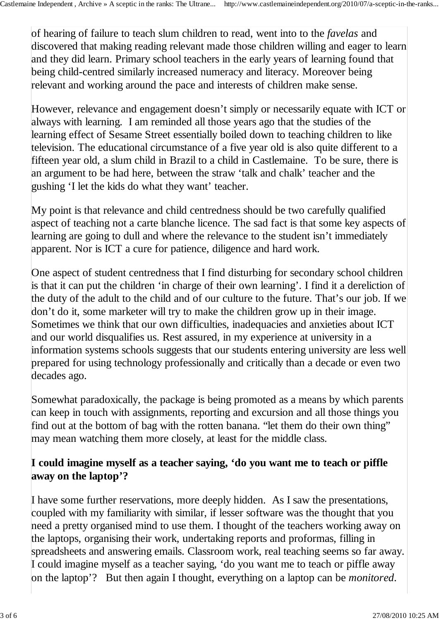of hearing of failure to teach slum children to read, went into to the *favelas* and discovered that making reading relevant made those children willing and eager to learn and they did learn. Primary school teachers in the early years of learning found that being child-centred similarly increased numeracy and literacy. Moreover being relevant and working around the pace and interests of children make sense.

However, relevance and engagement doesn't simply or necessarily equate with ICT or always with learning. I am reminded all those years ago that the studies of the learning effect of Sesame Street essentially boiled down to teaching children to like television. The educational circumstance of a five year old is also quite different to a fifteen year old, a slum child in Brazil to a child in Castlemaine. To be sure, there is an argument to be had here, between the straw 'talk and chalk' teacher and the gushing 'I let the kids do what they want' teacher.

My point is that relevance and child centredness should be two carefully qualified aspect of teaching not a carte blanche licence. The sad fact is that some key aspects of learning are going to dull and where the relevance to the student isn't immediately apparent. Nor is ICT a cure for patience, diligence and hard work.

One aspect of student centredness that I find disturbing for secondary school children is that it can put the children 'in charge of their own learning'. I find it a dereliction of the duty of the adult to the child and of our culture to the future. That's our job. If we don't do it, some marketer will try to make the children grow up in their image. Sometimes we think that our own difficulties, inadequacies and anxieties about ICT and our world disqualifies us. Rest assured, in my experience at university in a information systems schools suggests that our students entering university are less well prepared for using technology professionally and critically than a decade or even two decades ago.

Somewhat paradoxically, the package is being promoted as a means by which parents can keep in touch with assignments, reporting and excursion and all those things you find out at the bottom of bag with the rotten banana. "let them do their own thing" may mean watching them more closely, at least for the middle class.

### **I could imagine myself as a teacher saying, 'do you want me to teach or piffle away on the laptop'?**

I have some further reservations, more deeply hidden. As I saw the presentations, coupled with my familiarity with similar, if lesser software was the thought that you need a pretty organised mind to use them. I thought of the teachers working away on the laptops, organising their work, undertaking reports and proformas, filling in spreadsheets and answering emails. Classroom work, real teaching seems so far away. I could imagine myself as a teacher saying, 'do you want me to teach or piffle away on the laptop'? But then again I thought, everything on a laptop can be *monitored*.